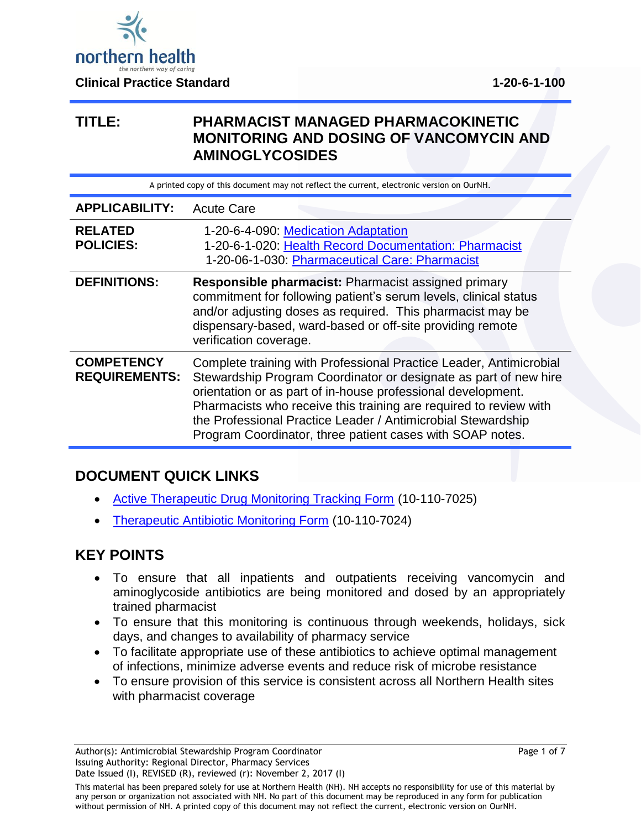

## **TITLE: PHARMACIST MANAGED PHARMACOKINETIC MONITORING AND DOSING OF VANCOMYCIN AND AMINOGLYCOSIDES**

A printed copy of this document may not reflect the current, electronic version on OurNH.

| <b>APPLICABILITY:</b>                     | <b>Acute Care</b>                                                                                                                                                                                                                                                                                                                                                                                        |
|-------------------------------------------|----------------------------------------------------------------------------------------------------------------------------------------------------------------------------------------------------------------------------------------------------------------------------------------------------------------------------------------------------------------------------------------------------------|
| <b>RELATED</b><br><b>POLICIES:</b>        | 1-20-6-4-090: Medication Adaptation<br>1-20-6-1-020: Health Record Documentation: Pharmacist<br>1-20-06-1-030: Pharmaceutical Care: Pharmacist                                                                                                                                                                                                                                                           |
| <b>DEFINITIONS:</b>                       | <b>Responsible pharmacist: Pharmacist assigned primary</b><br>commitment for following patient's serum levels, clinical status<br>and/or adjusting doses as required. This pharmacist may be<br>dispensary-based, ward-based or off-site providing remote<br>verification coverage.                                                                                                                      |
| <b>COMPETENCY</b><br><b>REQUIREMENTS:</b> | Complete training with Professional Practice Leader, Antimicrobial<br>Stewardship Program Coordinator or designate as part of new hire<br>orientation or as part of in-house professional development.<br>Pharmacists who receive this training are required to review with<br>the Professional Practice Leader / Antimicrobial Stewardship<br>Program Coordinator, three patient cases with SOAP notes. |

## **DOCUMENT QUICK LINKS**

- [Active Therapeutic Drug Monitoring Tracking Form](http://docushare.northernhealth.ca/docushare/dsweb/Get/Document-208915/10-110-7025.pdf) (10-110-7025)
- [Therapeutic Antibiotic Monitoring Form](http://docushare.northernhealth.ca/docushare/dsweb/Get/Document-208914/10-110-7024.pdf) (10-110-7024)

## **KEY POINTS**

- To ensure that all inpatients and outpatients receiving vancomycin and aminoglycoside antibiotics are being monitored and dosed by an appropriately trained pharmacist
- To ensure that this monitoring is continuous through weekends, holidays, sick days, and changes to availability of pharmacy service
- To facilitate appropriate use of these antibiotics to achieve optimal management of infections, minimize adverse events and reduce risk of microbe resistance
- To ensure provision of this service is consistent across all Northern Health sites with pharmacist coverage

This material has been prepared solely for use at Northern Health (NH). NH accepts no responsibility for use of this material by any person or organization not associated with NH. No part of this document may be reproduced in any form for publication without permission of NH. A printed copy of this document may not reflect the current, electronic version on OurNH.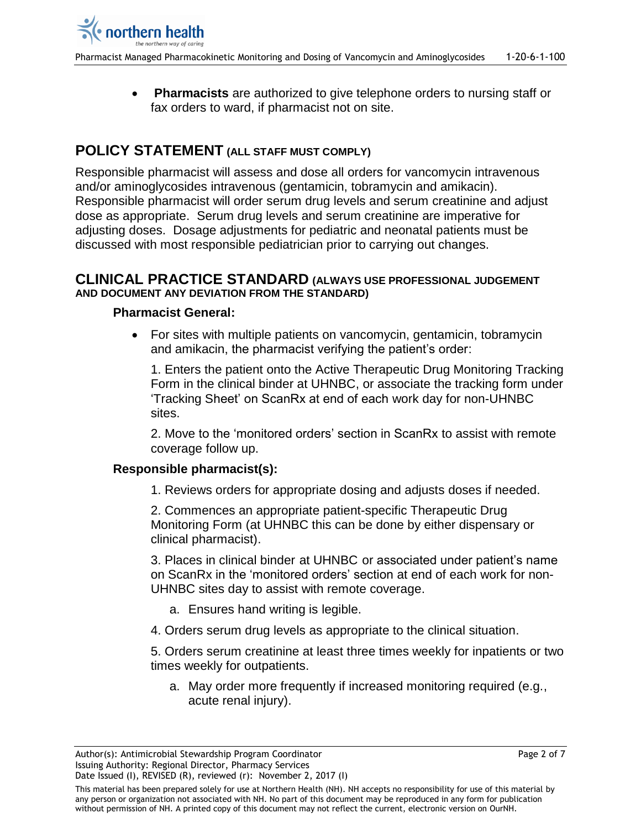**Pharmacists** are authorized to give telephone orders to nursing staff or fax orders to ward, if pharmacist not on site.

# **POLICY STATEMENT (ALL STAFF MUST COMPLY)**

Responsible pharmacist will assess and dose all orders for vancomycin intravenous and/or aminoglycosides intravenous (gentamicin, tobramycin and amikacin). Responsible pharmacist will order serum drug levels and serum creatinine and adjust dose as appropriate. Serum drug levels and serum creatinine are imperative for adjusting doses. Dosage adjustments for pediatric and neonatal patients must be discussed with most responsible pediatrician prior to carrying out changes.

#### **CLINICAL PRACTICE STANDARD (ALWAYS USE PROFESSIONAL JUDGEMENT AND DOCUMENT ANY DEVIATION FROM THE STANDARD)**

### **Pharmacist General:**

 For sites with multiple patients on vancomycin, gentamicin, tobramycin and amikacin, the pharmacist verifying the patient's order:

1. Enters the patient onto the Active Therapeutic Drug Monitoring Tracking Form in the clinical binder at UHNBC, or associate the tracking form under 'Tracking Sheet' on ScanRx at end of each work day for non-UHNBC sites.

2. Move to the 'monitored orders' section in ScanRx to assist with remote coverage follow up.

### **Responsible pharmacist(s):**

1. Reviews orders for appropriate dosing and adjusts doses if needed.

2. Commences an appropriate patient-specific Therapeutic Drug Monitoring Form (at UHNBC this can be done by either dispensary or clinical pharmacist).

3. Places in clinical binder at UHNBC or associated under patient's name on ScanRx in the 'monitored orders' section at end of each work for non-UHNBC sites day to assist with remote coverage.

- a. Ensures hand writing is legible.
- 4. Orders serum drug levels as appropriate to the clinical situation.

5. Orders serum creatinine at least three times weekly for inpatients or two times weekly for outpatients.

a. May order more frequently if increased monitoring required (e.g., acute renal injury).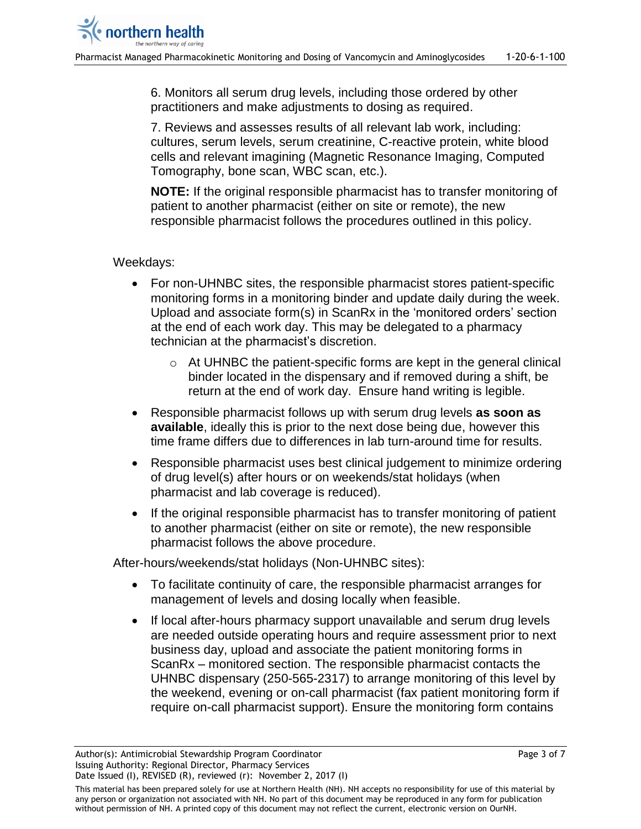6. Monitors all serum drug levels, including those ordered by other practitioners and make adjustments to dosing as required.

7. Reviews and assesses results of all relevant lab work, including: cultures, serum levels, serum creatinine, C-reactive protein, white blood cells and relevant imagining (Magnetic Resonance Imaging, Computed Tomography, bone scan, WBC scan, etc.).

**NOTE:** If the original responsible pharmacist has to transfer monitoring of patient to another pharmacist (either on site or remote), the new responsible pharmacist follows the procedures outlined in this policy.

### Weekdays:

- For non-UHNBC sites, the responsible pharmacist stores patient-specific monitoring forms in a monitoring binder and update daily during the week. Upload and associate form(s) in ScanRx in the 'monitored orders' section at the end of each work day. This may be delegated to a pharmacy technician at the pharmacist's discretion.
	- o At UHNBC the patient-specific forms are kept in the general clinical binder located in the dispensary and if removed during a shift, be return at the end of work day. Ensure hand writing is legible.
- Responsible pharmacist follows up with serum drug levels **as soon as available**, ideally this is prior to the next dose being due, however this time frame differs due to differences in lab turn-around time for results.
- Responsible pharmacist uses best clinical judgement to minimize ordering of drug level(s) after hours or on weekends/stat holidays (when pharmacist and lab coverage is reduced).
- If the original responsible pharmacist has to transfer monitoring of patient to another pharmacist (either on site or remote), the new responsible pharmacist follows the above procedure.

After-hours/weekends/stat holidays (Non-UHNBC sites):

- To facilitate continuity of care, the responsible pharmacist arranges for management of levels and dosing locally when feasible.
- If local after-hours pharmacy support unavailable and serum drug levels are needed outside operating hours and require assessment prior to next business day, upload and associate the patient monitoring forms in ScanRx – monitored section. The responsible pharmacist contacts the UHNBC dispensary (250-565-2317) to arrange monitoring of this level by the weekend, evening or on-call pharmacist (fax patient monitoring form if require on-call pharmacist support). Ensure the monitoring form contains

This material has been prepared solely for use at Northern Health (NH). NH accepts no responsibility for use of this material by any person or organization not associated with NH. No part of this document may be reproduced in any form for publication without permission of NH. A printed copy of this document may not reflect the current, electronic version on OurNH.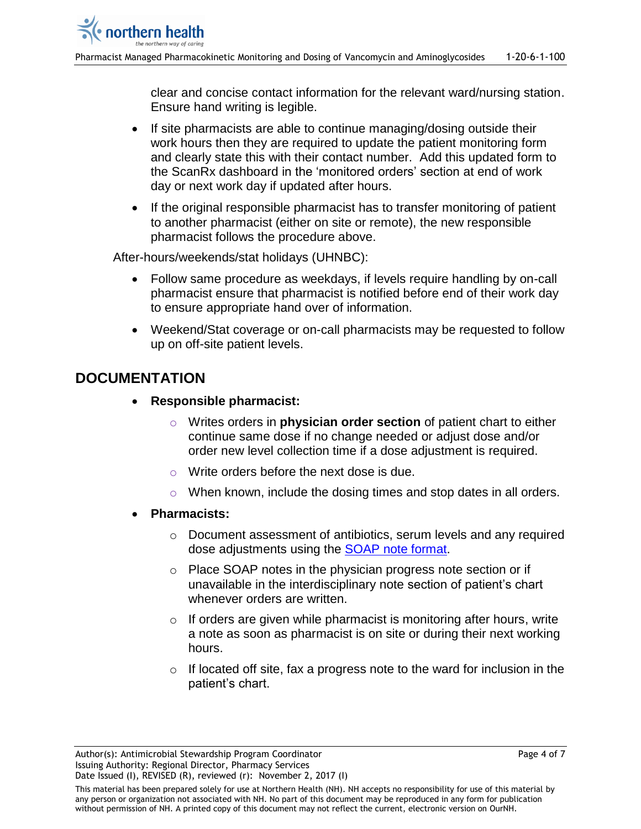clear and concise contact information for the relevant ward/nursing station. Ensure hand writing is legible.

- If site pharmacists are able to continue managing/dosing outside their work hours then they are required to update the patient monitoring form and clearly state this with their contact number. Add this updated form to the ScanRx dashboard in the 'monitored orders' section at end of work day or next work day if updated after hours.
- If the original responsible pharmacist has to transfer monitoring of patient to another pharmacist (either on site or remote), the new responsible pharmacist follows the procedure above.

After-hours/weekends/stat holidays (UHNBC):

- Follow same procedure as weekdays, if levels require handling by on-call pharmacist ensure that pharmacist is notified before end of their work day to ensure appropriate hand over of information.
- Weekend/Stat coverage or on-call pharmacists may be requested to follow up on off-site patient levels.

# **DOCUMENTATION**

- **Responsible pharmacist:**
	- o Writes orders in **physician order section** of patient chart to either continue same dose if no change needed or adjust dose and/or order new level collection time if a dose adjustment is required.
	- o Write orders before the next dose is due.
	- o When known, include the dosing times and stop dates in all orders.
- **Pharmacists:**
	- o Document assessment of antibiotics, serum levels and any required dose adjustments using the [SOAP note format.](#page-4-0)
	- o Place SOAP notes in the physician progress note section or if unavailable in the interdisciplinary note section of patient's chart whenever orders are written.
	- $\circ$  If orders are given while pharmacist is monitoring after hours, write a note as soon as pharmacist is on site or during their next working hours.
	- $\circ$  If located off site, fax a progress note to the ward for inclusion in the patient's chart.

This material has been prepared solely for use at Northern Health (NH). NH accepts no responsibility for use of this material by any person or organization not associated with NH. No part of this document may be reproduced in any form for publication without permission of NH. A printed copy of this document may not reflect the current, electronic version on OurNH.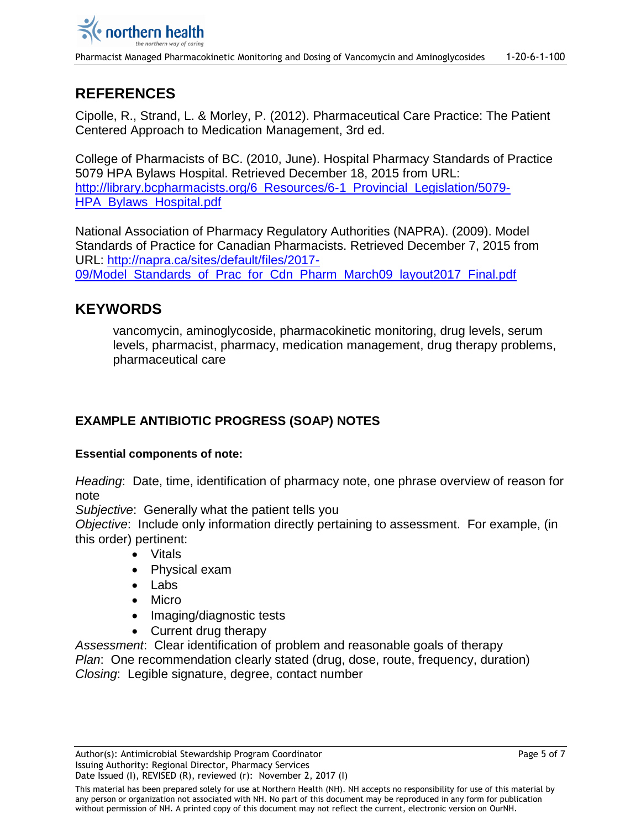Pharmacist Managed Pharmacokinetic Monitoring and Dosing of Vancomycin and Aminoglycosides 1-20-6-1-100

# **REFERENCES**

Cipolle, R., Strand, L. & Morley, P. (2012). Pharmaceutical Care Practice: The Patient Centered Approach to Medication Management, 3rd ed.

College of Pharmacists of BC. (2010, June). Hospital Pharmacy Standards of Practice 5079 HPA Bylaws Hospital. Retrieved December 18, 2015 from URL: [http://library.bcpharmacists.org/6\\_Resources/6-1\\_Provincial\\_Legislation/5079-](http://library.bcpharmacists.org/6_Resources/6-1_Provincial_Legislation/5079-HPA_Bylaws_Hospital.pdf) [HPA\\_Bylaws\\_Hospital.pdf](http://library.bcpharmacists.org/6_Resources/6-1_Provincial_Legislation/5079-HPA_Bylaws_Hospital.pdf)

National Association of Pharmacy Regulatory Authorities (NAPRA). (2009). Model Standards of Practice for Canadian Pharmacists. Retrieved December 7, 2015 from URL: [http://napra.ca/sites/default/files/2017-](http://napra.ca/sites/default/files/2017-09/Model_Standards_of_Prac_for_Cdn_Pharm_March09_layout2017_Final.pdf) 09/Model Standards of Prac for Cdn Pharm March09 layout2017 Final.pdf

## **KEYWORDS**

<span id="page-4-0"></span>vancomycin, aminoglycoside, pharmacokinetic monitoring, drug levels, serum levels, pharmacist, pharmacy, medication management, drug therapy problems, pharmaceutical care

## **EXAMPLE ANTIBIOTIC PROGRESS (SOAP) NOTES**

### **Essential components of note:**

*Heading*: Date, time, identification of pharmacy note, one phrase overview of reason for note

*Subjective*: Generally what the patient tells you

*Objective*: Include only information directly pertaining to assessment. For example, (in this order) pertinent:

- Vitals
- Physical exam
- Labs
- Micro
- Imaging/diagnostic tests
- Current drug therapy

*Assessment*: Clear identification of problem and reasonable goals of therapy *Plan*: One recommendation clearly stated (drug, dose, route, frequency, duration) *Closing*: Legible signature, degree, contact number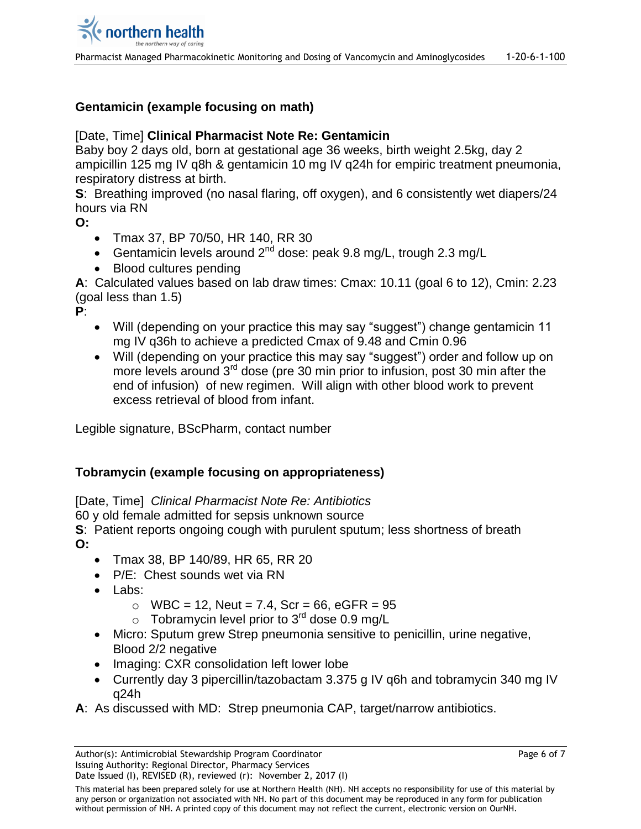## **Gentamicin (example focusing on math)**

### [Date, Time] **Clinical Pharmacist Note Re: Gentamicin**

Baby boy 2 days old, born at gestational age 36 weeks, birth weight 2.5kg, day 2 ampicillin 125 mg IV q8h & gentamicin 10 mg IV q24h for empiric treatment pneumonia, respiratory distress at birth.

**S**: Breathing improved (no nasal flaring, off oxygen), and 6 consistently wet diapers/24 hours via RN

**O:**

- Tmax 37, BP 70/50, HR 140, RR 30
- Gentamicin levels around  $2^{nd}$  dose: peak 9.8 mg/L, trough 2.3 mg/L
- Blood cultures pending

**A**: Calculated values based on lab draw times: Cmax: 10.11 (goal 6 to 12), Cmin: 2.23 (goal less than 1.5)

**P**:

- Will (depending on your practice this may say "suggest") change gentamicin 11 mg IV q36h to achieve a predicted Cmax of 9.48 and Cmin 0.96
- Will (depending on your practice this may say "suggest") order and follow up on more levels around 3<sup>rd</sup> dose (pre 30 min prior to infusion, post 30 min after the end of infusion) of new regimen. Will align with other blood work to prevent excess retrieval of blood from infant.

Legible signature, BScPharm, contact number

### **Tobramycin (example focusing on appropriateness)**

[Date, Time] *Clinical Pharmacist Note Re: Antibiotics*

60 y old female admitted for sepsis unknown source

**S**: Patient reports ongoing cough with purulent sputum; less shortness of breath **O:**

- Tmax 38, BP 140/89, HR 65, RR 20
- P/E: Chest sounds wet via RN
- Labs:
	- $O$  WBC = 12, Neut = 7.4, Scr = 66, eGFR = 95
	- $\circ$  Tobramycin level prior to 3<sup>rd</sup> dose 0.9 mg/L
- Micro: Sputum grew Strep pneumonia sensitive to penicillin, urine negative, Blood 2/2 negative
- Imaging: CXR consolidation left lower lobe
- Currently day 3 pipercillin/tazobactam 3.375 g IV q6h and tobramycin 340 mg IV q24h
- **A**: As discussed with MD: Strep pneumonia CAP, target/narrow antibiotics.